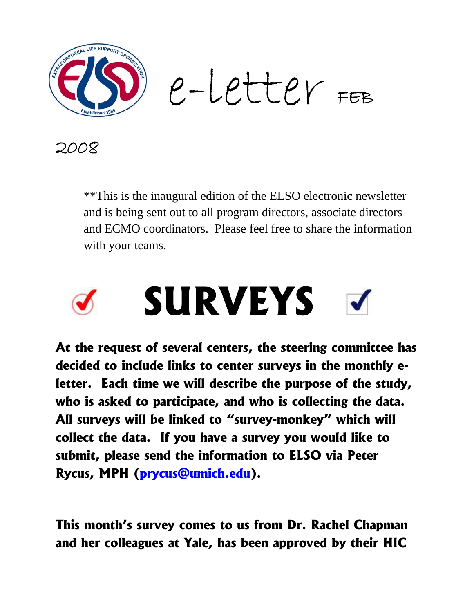

2008

\*\*This is the inaugural edition of the ELSO electronic newsletter and is being sent out to all program directors, associate directors and ECMO coordinators. Please feel free to share the information with your teams.

# **SURVEYS**

**At the request of several centers, the steering committee has decided to include links to center surveys in the monthly eletter. Each time we will describe the purpose of the study, who is asked to participate, and who is collecting the data. All surveys will be linked to "survey-monkey" which will collect the data. If you have a survey you would like to submit, please send the information to ELSO via Peter Rycus, MPH (prycus@umich.edu).** 

**This month's survey comes to us from Dr. Rachel Chapman and her colleagues at Yale, has been approved by their HIC**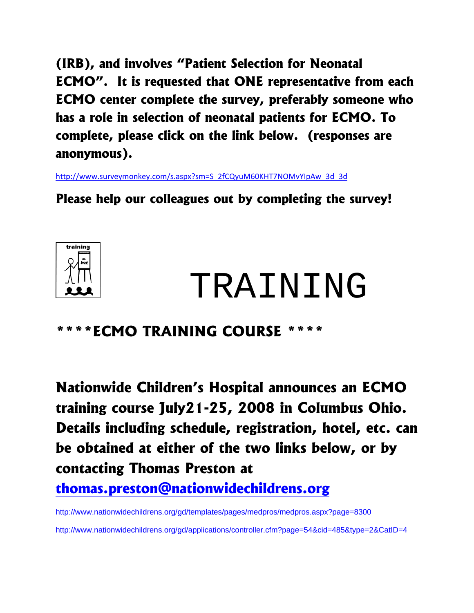**(IRB), and involves "Patient Selection for Neonatal ECMO". It is requested that ONE representative from each ECMO center complete the survey, preferably someone who has a role in selection of neonatal patients for ECMO. To complete, please click on the link below. (responses are anonymous).** 

http://www.surveymonkey.com/s.aspx?sm=S\_2fCQyuM60KHT7NOMvYIpAw\_3d\_3d

**Please help our colleagues out by completing the survey!** 



# TRAINING

#### **\*\*\*\*ECMO TRAINING COURSE \*\*\*\***

**Nationwide Children's Hospital announces an ECMO training course July21-25, 2008 in Columbus Ohio. Details including schedule, registration, hotel, etc. can be obtained at either of the two links below, or by contacting Thomas Preston at thomas.preston@nationwidechildrens.org** 

http://www.nationwidechildrens.org/gd/templates/pages/medpros/medpros.aspx?page=8300 http://www.nationwidechildrens.org/gd/applications/controller.cfm?page=54&cid=485&type=2&CatID=4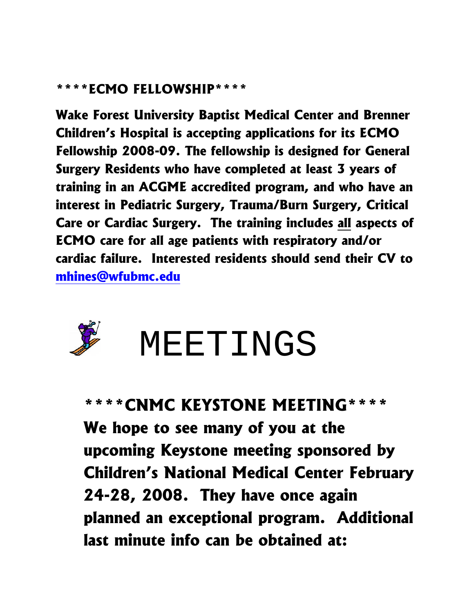#### **\*\*\*\*ECMO FELLOWSHIP\*\*\*\***

**Wake Forest University Baptist Medical Center and Brenner Children's Hospital is accepting applications for its ECMO Fellowship 2008-09. The fellowship is designed for General Surgery Residents who have completed at least 3 years of training in an ACGME accredited program, and who have an interest in Pediatric Surgery, Trauma/Burn Surgery, Critical Care or Cardiac Surgery. The training includes all aspects of ECMO care for all age patients with respiratory and/or cardiac failure. Interested residents should send their CV to mhines@wfubmc.edu**



## **MEETINGS**

#### **\*\*\*\*CNMC KEYSTONE MEETING\*\*\*\***

**We hope to see many of you at the upcoming Keystone meeting sponsored by Children's National Medical Center February 24-28, 2008. They have once again planned an exceptional program. Additional last minute info can be obtained at:**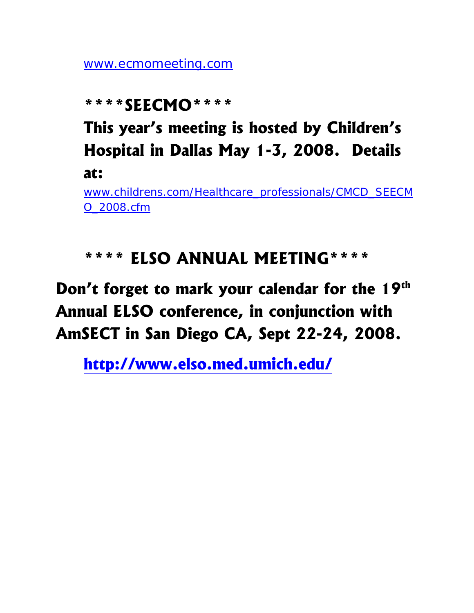www.ecmomeeting.com

#### **\*\*\*\*SEECMO\*\*\*\***

**This year's meeting is hosted by Children's Hospital in Dallas May 1-3, 2008. Details at:** 

www.childrens.com/Healthcare\_professionals/CMCD\_SEECM O\_2008.cfm

#### **\*\*\*\* ELSO ANNUAL MEETING\*\*\*\***

### **Don't forget to mark your calendar for the 19th Annual ELSO conference, in conjunction with AmSECT in San Diego CA, Sept 22-24, 2008.**

**http://www.elso.med.umich.edu/**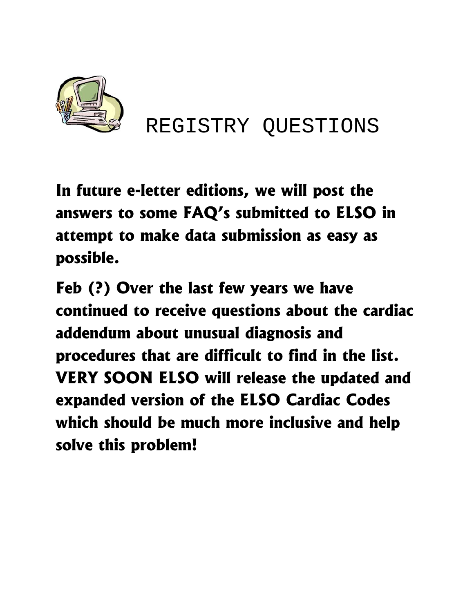

REGISTRY QUESTIONS

**In future e-letter editions, we will post the answers to some FAQ's submitted to ELSO in attempt to make data submission as easy as possible.** 

**Feb (?) Over the last few years we have continued to receive questions about the cardiac addendum about unusual diagnosis and procedures that are difficult to find in the list. VERY SOON ELSO will release the updated and expanded version of the ELSO Cardiac Codes which should be much more inclusive and help solve this problem!**